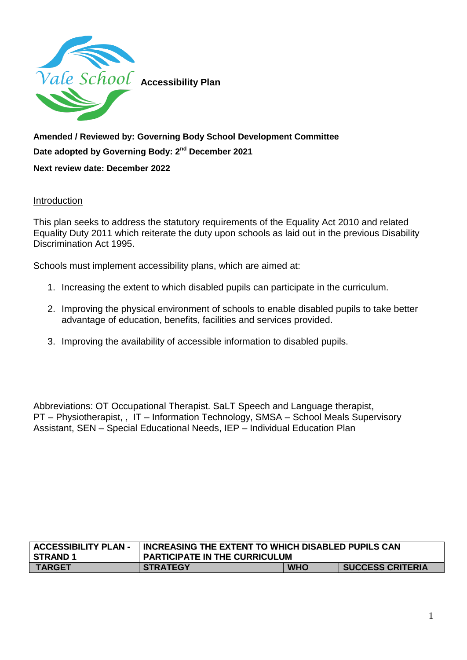

## **Amended / Reviewed by: Governing Body School Development Committee Date adopted by Governing Body: 2nd December 2021**

## **Next review date: December 2022**

## Introduction

This plan seeks to address the statutory requirements of the Equality Act 2010 and related Equality Duty 2011 which reiterate the duty upon schools as laid out in the previous Disability Discrimination Act 1995.

Schools must implement accessibility plans, which are aimed at:

- 1. Increasing the extent to which disabled pupils can participate in the curriculum.
- 2. Improving the physical environment of schools to enable disabled pupils to take better advantage of education, benefits, facilities and services provided.
- 3. Improving the availability of accessible information to disabled pupils.

Abbreviations: OT Occupational Therapist. SaLT Speech and Language therapist, PT – Physiotherapist, , IT – Information Technology, SMSA – School Meals Supervisory Assistant, SEN – Special Educational Needs, IEP – Individual Education Plan

| <b>ACCESSIBILITY PLAN-</b> | INCREASING THE EXTENT TO WHICH DISABLED PUPILS CAN |            |                         |
|----------------------------|----------------------------------------------------|------------|-------------------------|
| STRAND 1                   | PARTICIPATE IN THE CURRICULUM                      |            |                         |
| <b>TARGET</b>              | <b>STRATEGY</b>                                    | <b>WHO</b> | <b>SUCCESS CRITERIA</b> |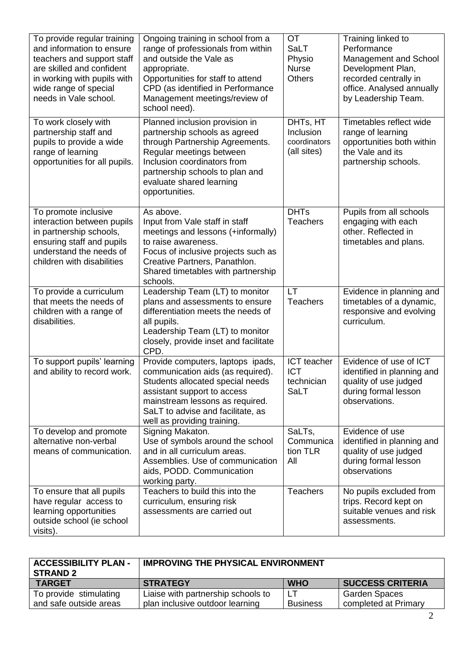| To provide regular training<br>and information to ensure<br>teachers and support staff<br>are skilled and confident<br>in working with pupils with<br>wide range of special<br>needs in Vale school. | Ongoing training in school from a<br>range of professionals from within<br>and outside the Vale as<br>appropriate.<br>Opportunities for staff to attend<br>CPD (as identified in Performance<br>Management meetings/review of<br>school need).   | <b>OT</b><br><b>SaLT</b><br>Physio<br><b>Nurse</b><br><b>Others</b> | Training linked to<br>Performance<br>Management and School<br>Development Plan,<br>recorded centrally in<br>office. Analysed annually<br>by Leadership Team. |
|------------------------------------------------------------------------------------------------------------------------------------------------------------------------------------------------------|--------------------------------------------------------------------------------------------------------------------------------------------------------------------------------------------------------------------------------------------------|---------------------------------------------------------------------|--------------------------------------------------------------------------------------------------------------------------------------------------------------|
| To work closely with<br>partnership staff and<br>pupils to provide a wide<br>range of learning<br>opportunities for all pupils.                                                                      | Planned inclusion provision in<br>partnership schools as agreed<br>through Partnership Agreements.<br>Regular meetings between<br>Inclusion coordinators from<br>partnership schools to plan and<br>evaluate shared learning<br>opportunities.   | DHTs, HT<br>Inclusion<br>coordinators<br>(all sites)                | Timetables reflect wide<br>range of learning<br>opportunities both within<br>the Vale and its<br>partnership schools.                                        |
| To promote inclusive<br>interaction between pupils<br>in partnership schools,<br>ensuring staff and pupils<br>understand the needs of<br>children with disabilities                                  | As above.<br>Input from Vale staff in staff<br>meetings and lessons (+informally)<br>to raise awareness.<br>Focus of inclusive projects such as<br>Creative Partners, Panathlon.<br>Shared timetables with partnership<br>schools.               | <b>DHTs</b><br><b>Teachers</b>                                      | Pupils from all schools<br>engaging with each<br>other. Reflected in<br>timetables and plans.                                                                |
| To provide a curriculum<br>that meets the needs of<br>children with a range of<br>disabilities.                                                                                                      | Leadership Team (LT) to monitor<br>plans and assessments to ensure<br>differentiation meets the needs of<br>all pupils.<br>Leadership Team (LT) to monitor<br>closely, provide inset and facilitate<br>CPD.                                      | <b>LT</b><br><b>Teachers</b>                                        | Evidence in planning and<br>timetables of a dynamic,<br>responsive and evolving<br>curriculum.                                                               |
| To support pupils' learning<br>and ability to record work.                                                                                                                                           | Provide computers, laptops ipads,<br>communication aids (as required).<br>Students allocated special needs<br>assistant support to access<br>mainstream lessons as required.<br>SaLT to advise and facilitate, as<br>well as providing training. | ICT teacher<br><b>ICT</b><br>technician<br>SaLT                     | Evidence of use of ICT<br>identified in planning and<br>quality of use judged<br>during formal lesson<br>observations.                                       |
| To develop and promote<br>alternative non-verbal<br>means of communication.                                                                                                                          | Signing Makaton.<br>Use of symbols around the school<br>and in all curriculum areas.<br>Assemblies. Use of communication<br>aids, PODD. Communication<br>working party.                                                                          | SaLTs,<br>Communica<br>tion TLR<br>All                              | Evidence of use<br>identified in planning and<br>quality of use judged<br>during formal lesson<br>observations                                               |
| To ensure that all pupils<br>have regular access to<br>learning opportunities<br>outside school (ie school<br>visits).                                                                               | Teachers to build this into the<br>curriculum, ensuring risk<br>assessments are carried out                                                                                                                                                      | <b>Teachers</b>                                                     | No pupils excluded from<br>trips. Record kept on<br>suitable venues and risk<br>assessments.                                                                 |

| <b>ACCESSIBILITY PLAN -</b><br><b>STRAND 2</b> | <b>IMPROVING THE PHYSICAL ENVIRONMENT</b> |                 |                         |
|------------------------------------------------|-------------------------------------------|-----------------|-------------------------|
| <b>TARGET</b>                                  | <b>STRATEGY</b>                           | <b>WHO</b>      | <b>SUCCESS CRITERIA</b> |
| To provide stimulating                         | Liaise with partnership schools to        |                 | Garden Spaces           |
| and safe outside areas                         | plan inclusive outdoor learning           | <b>Business</b> | completed at Primary    |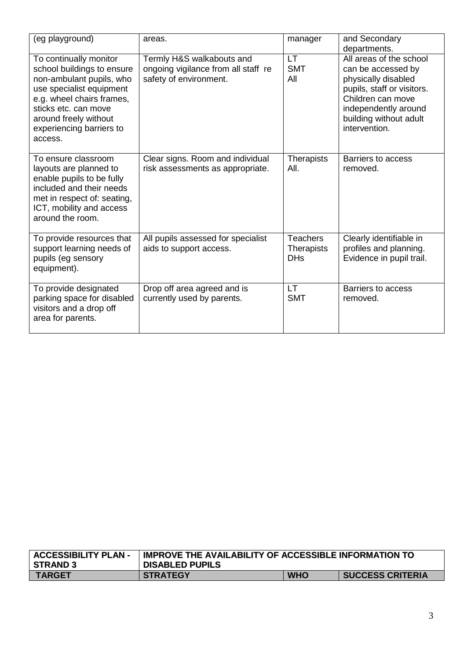| (eg playground)                                                                                                                                                                                                                   | areas.                                                                                     | manager                                            | and Secondary<br>departments.                                                                                                                                                              |
|-----------------------------------------------------------------------------------------------------------------------------------------------------------------------------------------------------------------------------------|--------------------------------------------------------------------------------------------|----------------------------------------------------|--------------------------------------------------------------------------------------------------------------------------------------------------------------------------------------------|
| To continually monitor<br>school buildings to ensure<br>non-ambulant pupils, who<br>use specialist equipment<br>e.g. wheel chairs frames,<br>sticks etc. can move<br>around freely without<br>experiencing barriers to<br>access. | Termly H&S walkabouts and<br>ongoing vigilance from all staff re<br>safety of environment. | <b>LT</b><br><b>SMT</b><br>All                     | All areas of the school<br>can be accessed by<br>physically disabled<br>pupils, staff or visitors.<br>Children can move<br>independently around<br>building without adult<br>intervention. |
| To ensure classroom<br>layouts are planned to<br>enable pupils to be fully<br>included and their needs<br>met in respect of: seating,<br>ICT, mobility and access<br>around the room.                                             | Clear signs. Room and individual<br>risk assessments as appropriate.                       | <b>Therapists</b><br>AII.                          | Barriers to access<br>removed.                                                                                                                                                             |
| To provide resources that<br>support learning needs of<br>pupils (eg sensory<br>equipment).                                                                                                                                       | All pupils assessed for specialist<br>aids to support access.                              | <b>Teachers</b><br><b>Therapists</b><br><b>DHs</b> | Clearly identifiable in<br>profiles and planning.<br>Evidence in pupil trail.                                                                                                              |
| To provide designated<br>parking space for disabled<br>visitors and a drop off<br>area for parents.                                                                                                                               | Drop off area agreed and is<br>currently used by parents.                                  | <b>LT</b><br><b>SMT</b>                            | <b>Barriers to access</b><br>removed.                                                                                                                                                      |

| <b>ACCESSIBILITY PLAN -</b> | <b>IMPROVE THE AVAILABILITY OF ACCESSIBLE INFORMATION TO</b> |            |                         |
|-----------------------------|--------------------------------------------------------------|------------|-------------------------|
| <b>STRAND 3</b>             | <b>DISABLED PUPILS</b>                                       |            |                         |
| <b>TARGET</b>               | <b>STRATEGY</b>                                              | <b>WHO</b> | <b>SUCCESS CRITERIA</b> |